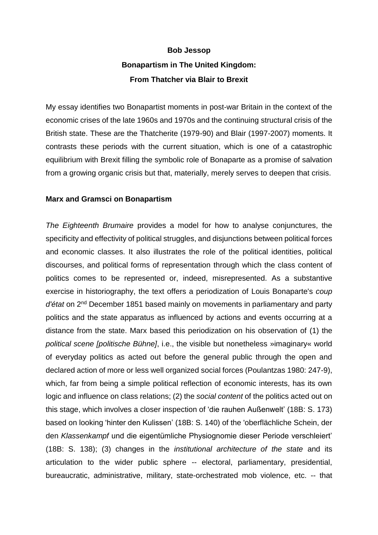# **Bob Jessop Bonapartism in The United Kingdom: From Thatcher via Blair to Brexit**

My essay identifies two Bonapartist moments in post-war Britain in the context of the economic crises of the late 1960s and 1970s and the continuing structural crisis of the British state. These are the Thatcherite (1979-90) and Blair (1997-2007) moments. It contrasts these periods with the current situation, which is one of a catastrophic equilibrium with Brexit filling the symbolic role of Bonaparte as a promise of salvation from a growing organic crisis but that, materially, merely serves to deepen that crisis.

# **Marx and Gramsci on Bonapartism**

*The Eighteenth Brumaire* provides a model for how to analyse conjunctures, the specificity and effectivity of political struggles, and disjunctions between political forces and economic classes. It also illustrates the role of the political identities, political discourses, and political forms of representation through which the class content of politics comes to be represented or, indeed, misrepresented. As a substantive exercise in historiography, the text offers a periodization of Louis Bonaparte's *coup d'état* on 2nd December 1851 based mainly on movements in parliamentary and party politics and the state apparatus as influenced by actions and events occurring at a distance from the state. Marx based this periodization on his observation of (1) the *political scene [politische Bühne]*, i.e., the visible but nonetheless »imaginary« world of everyday politics as acted out before the general public through the open and declared action of more or less well organized social forces (Poulantzas 1980: 247-9), which, far from being a simple political reflection of economic interests, has its own logic and influence on class relations; (2) the *social content* of the politics acted out on this stage, which involves a closer inspection of 'die rauhen Außenwelt' (18B: S. 173) based on looking 'hinter den Kulissen' (18B: S. 140) of the 'oberflächliche Schein, der den *Klassenkampf* und die eigentümliche Physiognomie dieser Periode verschleiert' (18B: S. 138); (3) changes in the *institutional architecture of the state* and its articulation to the wider public sphere -- electoral, parliamentary, presidential, bureaucratic, administrative, military, state-orchestrated mob violence, etc. -- that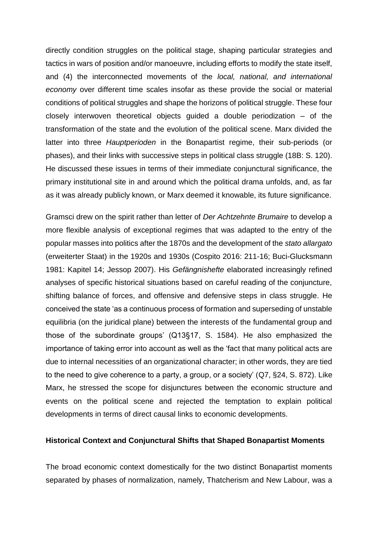directly condition struggles on the political stage, shaping particular strategies and tactics in wars of position and/or manoeuvre, including efforts to modify the state itself, and (4) the interconnected movements of the *local, national, and international economy* over different time scales insofar as these provide the social or material conditions of political struggles and shape the horizons of political struggle. These four closely interwoven theoretical objects guided a double periodization – of the transformation of the state and the evolution of the political scene. Marx divided the latter into three *Hauptperioden* in the Bonapartist regime, their sub-periods (or phases), and their links with successive steps in political class struggle (18B: S. 120). He discussed these issues in terms of their immediate conjunctural significance, the primary institutional site in and around which the political drama unfolds, and, as far as it was already publicly known, or Marx deemed it knowable, its future significance.

Gramsci drew on the spirit rather than letter of *Der Achtzehnte Brumaire* to develop a more flexible analysis of exceptional regimes that was adapted to the entry of the popular masses into politics after the 1870s and the development of the *stato allargato* (erweiterter Staat) in the 1920s and 1930s (Cospito 2016: 211-16; Buci-Glucksmann 1981: Kapitel 14; Jessop 2007). His *Gefängnishefte* elaborated increasingly refined analyses of specific historical situations based on careful reading of the conjuncture, shifting balance of forces, and offensive and defensive steps in class struggle. He conceived the state 'as a continuous process of formation and superseding of unstable equilibria (on the juridical plane) between the interests of the fundamental group and those of the subordinate groups' (Q13§17, S. 1584). He also emphasized the importance of taking error into account as well as the 'fact that many political acts are due to internal necessities of an organizational character; in other words, they are tied to the need to give coherence to a party, a group, or a society' (Q7, §24, S. 872). Like Marx, he stressed the scope for disjunctures between the economic structure and events on the political scene and rejected the temptation to explain political developments in terms of direct causal links to economic developments.

#### **Historical Context and Conjunctural Shifts that Shaped Bonapartist Moments**

The broad economic context domestically for the two distinct Bonapartist moments separated by phases of normalization, namely, Thatcherism and New Labour, was a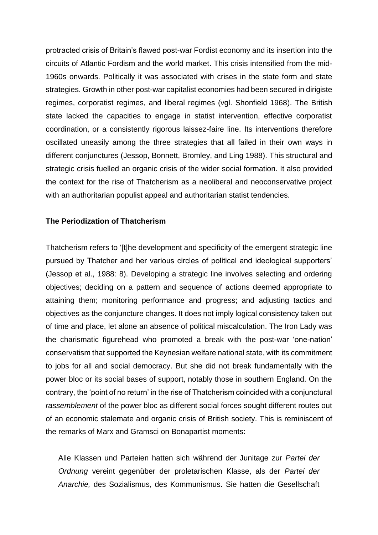protracted crisis of Britain's flawed post-war Fordist economy and its insertion into the circuits of Atlantic Fordism and the world market. This crisis intensified from the mid-1960s onwards. Politically it was associated with crises in the state form and state strategies. Growth in other post-war capitalist economies had been secured in dirigiste regimes, corporatist regimes, and liberal regimes (vgl. Shonfield 1968). The British state lacked the capacities to engage in statist intervention, effective corporatist coordination, or a consistently rigorous laissez-faire line. Its interventions therefore oscillated uneasily among the three strategies that all failed in their own ways in different conjunctures (Jessop, Bonnett, Bromley, and Ling 1988). This structural and strategic crisis fuelled an organic crisis of the wider social formation. It also provided the context for the rise of Thatcherism as a neoliberal and neoconservative project with an authoritarian populist appeal and authoritarian statist tendencies.

# **The Periodization of Thatcherism**

Thatcherism refers to '[t]he development and specificity of the emergent strategic line pursued by Thatcher and her various circles of political and ideological supporters' (Jessop et al., 1988: 8). Developing a strategic line involves selecting and ordering objectives; deciding on a pattern and sequence of actions deemed appropriate to attaining them; monitoring performance and progress; and adjusting tactics and objectives as the conjuncture changes. It does not imply logical consistency taken out of time and place, let alone an absence of political miscalculation. The Iron Lady was the charismatic figurehead who promoted a break with the post-war 'one-nation' conservatism that supported the Keynesian welfare national state, with its commitment to jobs for all and social democracy. But she did not break fundamentally with the power bloc or its social bases of support, notably those in southern England. On the contrary, the 'point of no return' in the rise of Thatcherism coincided with a conjunctural *rassemblement* of the power bloc as different social forces sought different routes out of an economic stalemate and organic crisis of British society. This is reminiscent of the remarks of Marx and Gramsci on Bonapartist moments:

Alle Klassen und Parteien hatten sich während der Junitage zur *Partei der Ordnung* vereint gegenüber der proletarischen Klasse, als der *Partei der Anarchie,* des Sozialismus, des Kommunismus. Sie hatten die Gesellschaft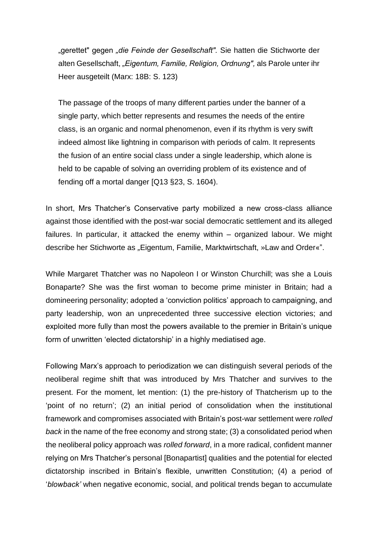"gerettet" gegen *"die Feinde der Gesellschaft".* Sie hatten die Stichworte der alten Gesellschaft, *"Eigentum, Familie, Religion, Ordnung",* als Parole unter ihr Heer ausgeteilt (Marx: 18B: S. 123)

The passage of the troops of many different parties under the banner of a single party, which better represents and resumes the needs of the entire class, is an organic and normal phenomenon, even if its rhythm is very swift indeed almost like lightning in comparison with periods of calm. It represents the fusion of an entire social class under a single leadership, which alone is held to be capable of solving an overriding problem of its existence and of fending off a mortal danger [Q13 §23, S. 1604).

In short, Mrs Thatcher's Conservative party mobilized a new cross-class alliance against those identified with the post-war social democratic settlement and its alleged failures. In particular, it attacked the enemy within – organized labour. We might describe her Stichworte as *"*Eigentum, Familie, Marktwirtschaft, »Law and Order«".

While Margaret Thatcher was no Napoleon I or Winston Churchill; was she a Louis Bonaparte? She was the first woman to become prime minister in Britain; had a domineering personality; adopted a 'conviction politics' approach to campaigning, and party leadership, won an unprecedented three successive election victories; and exploited more fully than most the powers available to the premier in Britain's unique form of unwritten 'elected dictatorship' in a highly mediatised age.

Following Marx's approach to periodization we can distinguish several periods of the neoliberal regime shift that was introduced by Mrs Thatcher and survives to the present. For the moment, let mention: (1) the pre-history of Thatcherism up to the 'point of no return'; (2) an initial period of consolidation when the institutional framework and compromises associated with Britain's post-war settlement were *rolled back* in the name of the free economy and strong state; (3) a consolidated period when the neoliberal policy approach was *rolled forward*, in a more radical, confident manner relying on Mrs Thatcher's personal [Bonapartist] qualities and the potential for elected dictatorship inscribed in Britain's flexible, unwritten Constitution; (4) a period of '*blowback'* when negative economic, social, and political trends began to accumulate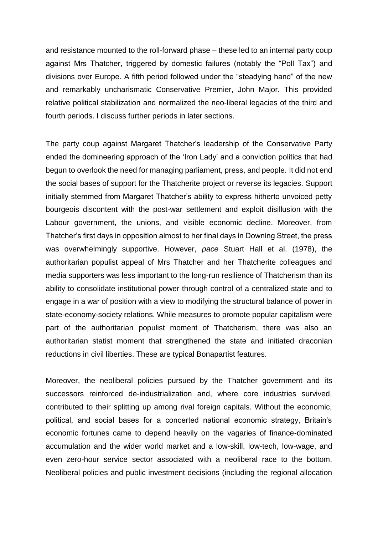and resistance mounted to the roll-forward phase – these led to an internal party coup against Mrs Thatcher, triggered by domestic failures (notably the "Poll Tax") and divisions over Europe. A fifth period followed under the "steadying hand" of the new and remarkably uncharismatic Conservative Premier, John Major. This provided relative political stabilization and normalized the neo-liberal legacies of the third and fourth periods. I discuss further periods in later sections.

The party coup against Margaret Thatcher's leadership of the Conservative Party ended the domineering approach of the 'Iron Lady' and a conviction politics that had begun to overlook the need for managing parliament, press, and people. It did not end the social bases of support for the Thatcherite project or reverse its legacies. Support initially stemmed from Margaret Thatcher's ability to express hitherto unvoiced petty bourgeois discontent with the post-war settlement and exploit disillusion with the Labour government, the unions, and visible economic decline. Moreover, from Thatcher's first days in opposition almost to her final days in Downing Street, the press was overwhelmingly supportive. However, *pace* Stuart Hall et al. (1978), the authoritarian populist appeal of Mrs Thatcher and her Thatcherite colleagues and media supporters was less important to the long-run resilience of Thatcherism than its ability to consolidate institutional power through control of a centralized state and to engage in a war of position with a view to modifying the structural balance of power in state-economy-society relations. While measures to promote popular capitalism were part of the authoritarian populist moment of Thatcherism, there was also an authoritarian statist moment that strengthened the state and initiated draconian reductions in civil liberties. These are typical Bonapartist features.

Moreover, the neoliberal policies pursued by the Thatcher government and its successors reinforced de-industrialization and, where core industries survived, contributed to their splitting up among rival foreign capitals. Without the economic, political, and social bases for a concerted national economic strategy, Britain's economic fortunes came to depend heavily on the vagaries of finance-dominated accumulation and the wider world market and a low-skill, low-tech, low-wage, and even zero-hour service sector associated with a neoliberal race to the bottom. Neoliberal policies and public investment decisions (including the regional allocation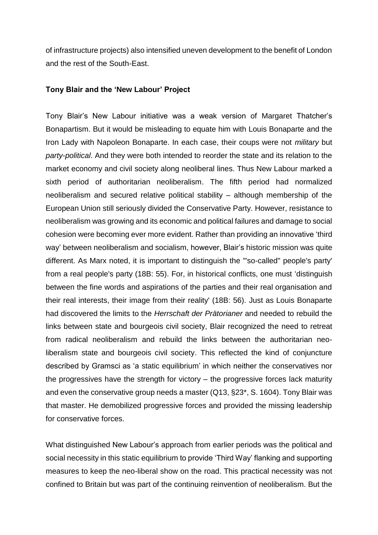of infrastructure projects) also intensified uneven development to the benefit of London and the rest of the South-East.

#### **Tony Blair and the 'New Labour' Project**

Tony Blair's New Labour initiative was a weak version of Margaret Thatcher's Bonapartism. But it would be misleading to equate him with Louis Bonaparte and the Iron Lady with Napoleon Bonaparte. In each case, their coups were not *military* but *party*-*political*. And they were both intended to reorder the state and its relation to the market economy and civil society along neoliberal lines. Thus New Labour marked a sixth period of authoritarian neoliberalism. The fifth period had normalized neoliberalism and secured relative political stability – although membership of the European Union still seriously divided the Conservative Party. However, resistance to neoliberalism was growing and its economic and political failures and damage to social cohesion were becoming ever more evident. Rather than providing an innovative 'third way' between neoliberalism and socialism, however, Blair's historic mission was quite different. As Marx noted, it is important to distinguish the '"so-called" people's party' from a real people's party (18B: 55). For, in historical conflicts, one must 'distinguish between the fine words and aspirations of the parties and their real organisation and their real interests, their image from their reality' (18B: 56). Just as Louis Bonaparte had discovered the limits to the *Herrschaft der Prätorianer* and needed to rebuild the links between state and bourgeois civil society, Blair recognized the need to retreat from radical neoliberalism and rebuild the links between the authoritarian neoliberalism state and bourgeois civil society. This reflected the kind of conjuncture described by Gramsci as 'a static equilibrium' in which neither the conservatives nor the progressives have the strength for victory – the progressive forces lack maturity and even the conservative group needs a master (Q13, §23\*, S. 1604). Tony Blair was that master. He demobilized progressive forces and provided the missing leadership for conservative forces.

What distinguished New Labour's approach from earlier periods was the political and social necessity in this static equilibrium to provide 'Third Way' flanking and supporting measures to keep the neo-liberal show on the road. This practical necessity was not confined to Britain but was part of the continuing reinvention of neoliberalism. But the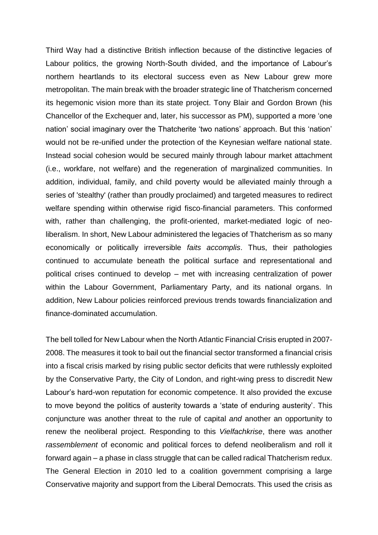Third Way had a distinctive British inflection because of the distinctive legacies of Labour politics, the growing North-South divided, and the importance of Labour's northern heartlands to its electoral success even as New Labour grew more metropolitan. The main break with the broader strategic line of Thatcherism concerned its hegemonic vision more than its state project. Tony Blair and Gordon Brown (his Chancellor of the Exchequer and, later, his successor as PM), supported a more 'one nation' social imaginary over the Thatcherite 'two nations' approach. But this 'nation' would not be re-unified under the protection of the Keynesian welfare national state. Instead social cohesion would be secured mainly through labour market attachment (i.e., workfare, not welfare) and the regeneration of marginalized communities. In addition, individual, family, and child poverty would be alleviated mainly through a series of 'stealthy' (rather than proudly proclaimed) and targeted measures to redirect welfare spending within otherwise rigid fisco-financial parameters. This conformed with, rather than challenging, the profit-oriented, market-mediated logic of neoliberalism. In short, New Labour administered the legacies of Thatcherism as so many economically or politically irreversible *faits accomplis*. Thus, their pathologies continued to accumulate beneath the political surface and representational and political crises continued to develop – met with increasing centralization of power within the Labour Government, Parliamentary Party, and its national organs. In addition, New Labour policies reinforced previous trends towards financialization and finance-dominated accumulation.

The bell tolled for New Labour when the North Atlantic Financial Crisis erupted in 2007- 2008. The measures it took to bail out the financial sector transformed a financial crisis into a fiscal crisis marked by rising public sector deficits that were ruthlessly exploited by the Conservative Party, the City of London, and right-wing press to discredit New Labour's hard-won reputation for economic competence. It also provided the excuse to move beyond the politics of austerity towards a 'state of enduring austerity'. This conjuncture was another threat to the rule of capital *and* another an opportunity to renew the neoliberal project. Responding to this *Vielfachkrise*, there was another *rassemblement* of economic and political forces to defend neoliberalism and roll it forward again – a phase in class struggle that can be called radical Thatcherism redux. The General Election in 2010 led to a coalition government comprising a large Conservative majority and support from the Liberal Democrats. This used the crisis as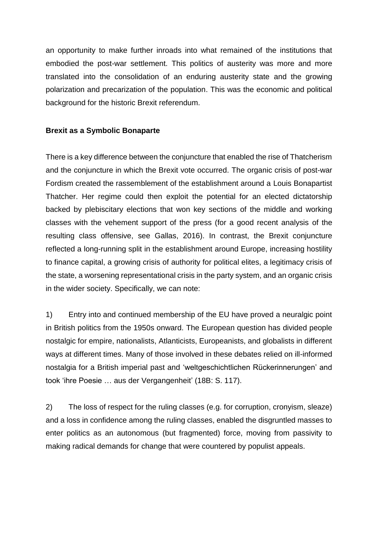an opportunity to make further inroads into what remained of the institutions that embodied the post-war settlement. This politics of austerity was more and more translated into the consolidation of an enduring austerity state and the growing polarization and precarization of the population. This was the economic and political background for the historic Brexit referendum.

# **Brexit as a Symbolic Bonaparte**

There is a key difference between the conjuncture that enabled the rise of Thatcherism and the conjuncture in which the Brexit vote occurred. The organic crisis of post-war Fordism created the rassemblement of the establishment around a Louis Bonapartist Thatcher. Her regime could then exploit the potential for an elected dictatorship backed by plebiscitary elections that won key sections of the middle and working classes with the vehement support of the press (for a good recent analysis of the resulting class offensive, see Gallas, 2016). In contrast, the Brexit conjuncture reflected a long-running split in the establishment around Europe, increasing hostility to finance capital, a growing crisis of authority for political elites, a legitimacy crisis of the state, a worsening representational crisis in the party system, and an organic crisis in the wider society. Specifically, we can note:

1) Entry into and continued membership of the EU have proved a neuralgic point in British politics from the 1950s onward. The European question has divided people nostalgic for empire, nationalists, Atlanticists, Europeanists, and globalists in different ways at different times. Many of those involved in these debates relied on ill-informed nostalgia for a British imperial past and 'weltgeschichtlichen Rückerinnerungen' and took 'ihre Poesie … aus der Vergangenheit' (18B: S. 117).

2) The loss of respect for the ruling classes (e.g. for corruption, cronyism, sleaze) and a loss in confidence among the ruling classes, enabled the disgruntled masses to enter politics as an autonomous (but fragmented) force, moving from passivity to making radical demands for change that were countered by populist appeals.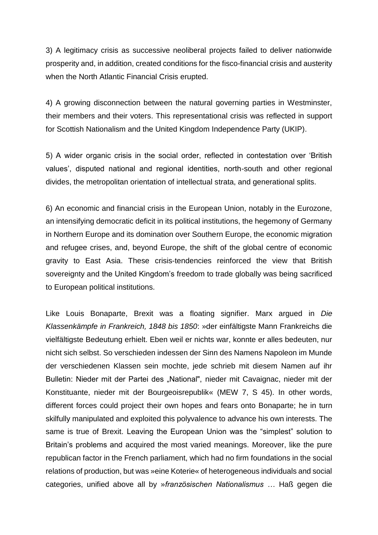3) A legitimacy crisis as successive neoliberal projects failed to deliver nationwide prosperity and, in addition, created conditions for the fisco-financial crisis and austerity when the North Atlantic Financial Crisis erupted.

4) A growing disconnection between the natural governing parties in Westminster, their members and their voters. This representational crisis was reflected in support for Scottish Nationalism and the United Kingdom Independence Party (UKIP).

5) A wider organic crisis in the social order, reflected in contestation over 'British values', disputed national and regional identities, north-south and other regional divides, the metropolitan orientation of intellectual strata, and generational splits.

6) An economic and financial crisis in the European Union, notably in the Eurozone, an intensifying democratic deficit in its political institutions, the hegemony of Germany in Northern Europe and its domination over Southern Europe, the economic migration and refugee crises, and, beyond Europe, the shift of the global centre of economic gravity to East Asia. These crisis-tendencies reinforced the view that British sovereignty and the United Kingdom's freedom to trade globally was being sacrificed to European political institutions.

Like Louis Bonaparte, Brexit was a floating signifier. Marx argued in *Die Klassenkämpfe in Frankreich, 1848 bis 1850*: »der einfältigste Mann Frankreichs die vielfältigste Bedeutung erhielt. Eben weil er nichts war, konnte er alles bedeuten, nur nicht sich selbst. So verschieden indessen der Sinn des Namens Napoleon im Munde der verschiedenen Klassen sein mochte, jede schrieb mit diesem Namen auf ihr Bulletin: Nieder mit der Partei des "National", nieder mit Cavaignac, nieder mit der Konstituante, nieder mit der Bourgeoisrepublik« (MEW 7, S 45). In other words, different forces could project their own hopes and fears onto Bonaparte; he in turn skilfully manipulated and exploited this polyvalence to advance his own interests. The same is true of Brexit. Leaving the European Union was the "simplest" solution to Britain's problems and acquired the most varied meanings. Moreover, like the pure republican factor in the French parliament, which had no firm foundations in the social relations of production, but was »eine Koterie« of heterogeneous individuals and social categories, unified above all by »*französischen Nationalismus …* Haß gegen die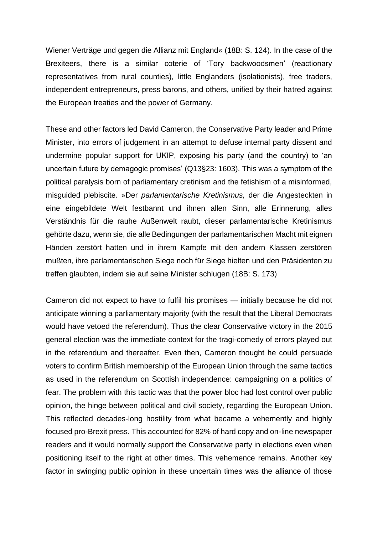Wiener Verträge und gegen die Allianz mit England« (18B: S. 124). In the case of the Brexiteers, there is a similar coterie of 'Tory backwoodsmen' (reactionary representatives from rural counties), little Englanders (isolationists), free traders, independent entrepreneurs, press barons, and others, unified by their hatred against the European treaties and the power of Germany.

These and other factors led David Cameron, the Conservative Party leader and Prime Minister, into errors of judgement in an attempt to defuse internal party dissent and undermine popular support for UKIP, exposing his party (and the country) to 'an uncertain future by demagogic promises' (Q13§23: 1603). This was a symptom of the political paralysis born of parliamentary cretinism and the fetishism of a misinformed, misguided plebiscite. »Der *parlamentarische Kretinismus,* der die Angesteckten in eine eingebildete Welt festbannt und ihnen allen Sinn, alle Erinnerung, alles Verständnis für die rauhe Außenwelt raubt, dieser parlamentarische Kretinismus gehörte dazu, wenn sie, die alle Bedingungen der parlamentarischen Macht mit eignen Händen zerstört hatten und in ihrem Kampfe mit den andern Klassen zerstören mußten, ihre parlamentarischen Siege noch für Siege hielten und den Präsidenten zu treffen glaubten, indem sie auf seine Minister schlugen (18B: S. 173)

Cameron did not expect to have to fulfil his promises — initially because he did not anticipate winning a parliamentary majority (with the result that the Liberal Democrats would have vetoed the referendum). Thus the clear Conservative victory in the 2015 general election was the immediate context for the tragi-comedy of errors played out in the referendum and thereafter. Even then, Cameron thought he could persuade voters to confirm British membership of the European Union through the same tactics as used in the referendum on Scottish independence: campaigning on a politics of fear. The problem with this tactic was that the power bloc had lost control over public opinion, the hinge between political and civil society, regarding the European Union. This reflected decades-long hostility from what became a vehemently and highly focused pro-Brexit press. This accounted for 82% of hard copy and on-line newspaper readers and it would normally support the Conservative party in elections even when positioning itself to the right at other times. This vehemence remains. Another key factor in swinging public opinion in these uncertain times was the alliance of those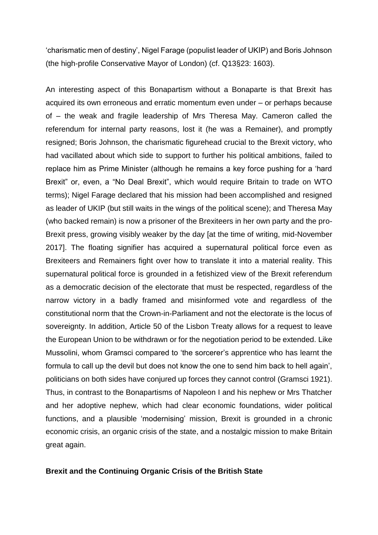'charismatic men of destiny', Nigel Farage (populist leader of UKIP) and Boris Johnson (the high-profile Conservative Mayor of London) (cf. Q13§23: 1603).

An interesting aspect of this Bonapartism without a Bonaparte is that Brexit has acquired its own erroneous and erratic momentum even under – or perhaps because of – the weak and fragile leadership of Mrs Theresa May. Cameron called the referendum for internal party reasons, lost it (he was a Remainer), and promptly resigned; Boris Johnson, the charismatic figurehead crucial to the Brexit victory, who had vacillated about which side to support to further his political ambitions, failed to replace him as Prime Minister (although he remains a key force pushing for a 'hard Brexit" or, even, a "No Deal Brexit", which would require Britain to trade on WTO terms); Nigel Farage declared that his mission had been accomplished and resigned as leader of UKIP (but still waits in the wings of the political scene); and Theresa May (who backed remain) is now a prisoner of the Brexiteers in her own party and the pro-Brexit press, growing visibly weaker by the day [at the time of writing, mid-November 2017]. The floating signifier has acquired a supernatural political force even as Brexiteers and Remainers fight over how to translate it into a material reality. This supernatural political force is grounded in a fetishized view of the Brexit referendum as a democratic decision of the electorate that must be respected, regardless of the narrow victory in a badly framed and misinformed vote and regardless of the constitutional norm that the Crown-in-Parliament and not the electorate is the locus of sovereignty. In addition, Article 50 of the Lisbon Treaty allows for a request to leave the European Union to be withdrawn or for the negotiation period to be extended. Like Mussolini, whom Gramsci compared to 'the sorcerer's apprentice who has learnt the formula to call up the devil but does not know the one to send him back to hell again', politicians on both sides have conjured up forces they cannot control (Gramsci 1921). Thus, in contrast to the Bonapartisms of Napoleon I and his nephew or Mrs Thatcher and her adoptive nephew, which had clear economic foundations, wider political functions, and a plausible 'modernising' mission, Brexit is grounded in a chronic economic crisis, an organic crisis of the state, and a nostalgic mission to make Britain great again.

## **Brexit and the Continuing Organic Crisis of the British State**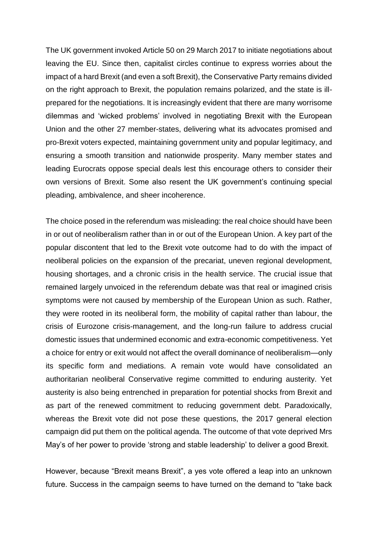The UK government invoked Article 50 on 29 March 2017 to initiate negotiations about leaving the EU. Since then, capitalist circles continue to express worries about the impact of a hard Brexit (and even a soft Brexit), the Conservative Party remains divided on the right approach to Brexit, the population remains polarized, and the state is illprepared for the negotiations. It is increasingly evident that there are many worrisome dilemmas and 'wicked problems' involved in negotiating Brexit with the European Union and the other 27 member-states, delivering what its advocates promised and pro-Brexit voters expected, maintaining government unity and popular legitimacy, and ensuring a smooth transition and nationwide prosperity. Many member states and leading Eurocrats oppose special deals lest this encourage others to consider their own versions of Brexit. Some also resent the UK government's continuing special pleading, ambivalence, and sheer incoherence.

The choice posed in the referendum was misleading: the real choice should have been in or out of neoliberalism rather than in or out of the European Union. A key part of the popular discontent that led to the Brexit vote outcome had to do with the impact of neoliberal policies on the expansion of the precariat, uneven regional development, housing shortages, and a chronic crisis in the health service. The crucial issue that remained largely unvoiced in the referendum debate was that real or imagined crisis symptoms were not caused by membership of the European Union as such. Rather, they were rooted in its neoliberal form, the mobility of capital rather than labour, the crisis of Eurozone crisis-management, and the long-run failure to address crucial domestic issues that undermined economic and extra-economic competitiveness. Yet a choice for entry or exit would not affect the overall dominance of neoliberalism—only its specific form and mediations. A remain vote would have consolidated an authoritarian neoliberal Conservative regime committed to enduring austerity. Yet austerity is also being entrenched in preparation for potential shocks from Brexit and as part of the renewed commitment to reducing government debt. Paradoxically, whereas the Brexit vote did not pose these questions, the 2017 general election campaign did put them on the political agenda. The outcome of that vote deprived Mrs May's of her power to provide 'strong and stable leadership' to deliver a good Brexit.

However, because "Brexit means Brexit", a yes vote offered a leap into an unknown future. Success in the campaign seems to have turned on the demand to "take back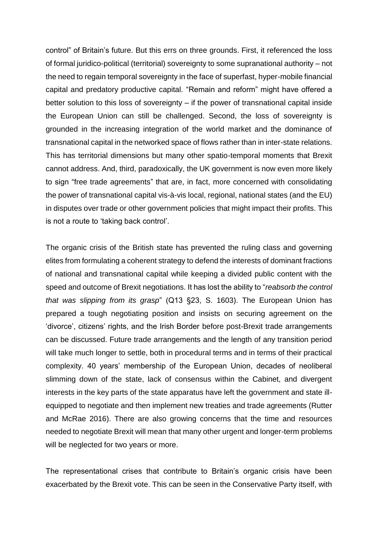control" of Britain's future. But this errs on three grounds. First, it referenced the loss of formal juridico-political (territorial) sovereignty to some supranational authority – not the need to regain temporal sovereignty in the face of superfast, hyper-mobile financial capital and predatory productive capital. "Remain and reform" might have offered a better solution to this loss of sovereignty – if the power of transnational capital inside the European Union can still be challenged. Second, the loss of sovereignty is grounded in the increasing integration of the world market and the dominance of transnational capital in the networked space of flows rather than in inter-state relations. This has territorial dimensions but many other spatio-temporal moments that Brexit cannot address. And, third, paradoxically, the UK government is now even more likely to sign "free trade agreements" that are, in fact, more concerned with consolidating the power of transnational capital vis-à-vis local, regional, national states (and the EU) in disputes over trade or other government policies that might impact their profits. This is not a route to 'taking back control'.

The organic crisis of the British state has prevented the ruling class and governing elites from formulating a coherent strategy to defend the interests of dominant fractions of national and transnational capital while keeping a divided public content with the speed and outcome of Brexit negotiations. It has lost the ability to "*reabsorb the control that was slipping from its grasp*" (Q13 §23, S. 1603). The European Union has prepared a tough negotiating position and insists on securing agreement on the 'divorce', citizens' rights, and the Irish Border before post-Brexit trade arrangements can be discussed. Future trade arrangements and the length of any transition period will take much longer to settle, both in procedural terms and in terms of their practical complexity. 40 years' membership of the European Union, decades of neoliberal slimming down of the state, lack of consensus within the Cabinet, and divergent interests in the key parts of the state apparatus have left the government and state illequipped to negotiate and then implement new treaties and trade agreements (Rutter and McRae 2016). There are also growing concerns that the time and resources needed to negotiate Brexit will mean that many other urgent and longer-term problems will be neglected for two years or more.

The representational crises that contribute to Britain's organic crisis have been exacerbated by the Brexit vote. This can be seen in the Conservative Party itself, with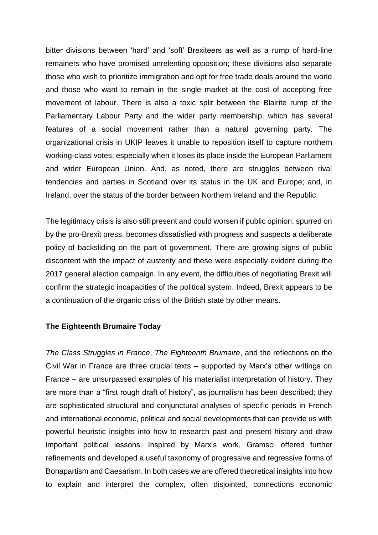bitter divisions between 'hard' and 'soft' Brexiteers as well as a rump of hard-line remainers who have promised unrelenting opposition; these divisions also separate those who wish to prioritize immigration and opt for free trade deals around the world and those who want to remain in the single market at the cost of accepting free movement of labour. There is also a toxic split between the Blairite rump of the Parliamentary Labour Party and the wider party membership, which has several features of a social movement rather than a natural governing party. The organizational crisis in UKIP leaves it unable to reposition itself to capture northern working-class votes, especially when it loses its place inside the European Parliament and wider European Union. And, as noted, there are struggles between rival tendencies and parties in Scotland over its status in the UK and Europe; and, in Ireland, over the status of the border between Northern Ireland and the Republic.

The legitimacy crisis is also still present and could worsen if public opinion, spurred on by the pro-Brexit press, becomes dissatisfied with progress and suspects a deliberate policy of backsliding on the part of government. There are growing signs of public discontent with the impact of austerity and these were especially evident during the 2017 general election campaign. In any event, the difficulties of negotiating Brexit will confirm the strategic incapacities of the political system. Indeed, Brexit appears to be a continuation of the organic crisis of the British state by other means.

#### **The Eighteenth Brumaire Today**

*The Class Struggles in France*, *The Eighteenth Brumaire*, and the reflections on the Civil War in France are three crucial texts – supported by Marx's other writings on France – are unsurpassed examples of his materialist interpretation of history. They are more than a "first rough draft of history", as journalism has been described; they are sophisticated structural and conjunctural analyses of specific periods in French and international economic, political and social developments that can provide us with powerful heuristic insights into how to research past and present history and draw important political lessons. Inspired by Marx's work, Gramsci offered further refinements and developed a useful taxonomy of progressive and regressive forms of Bonapartism and Caesarism. In both cases we are offered theoretical insights into how to explain and interpret the complex, often disjointed, connections economic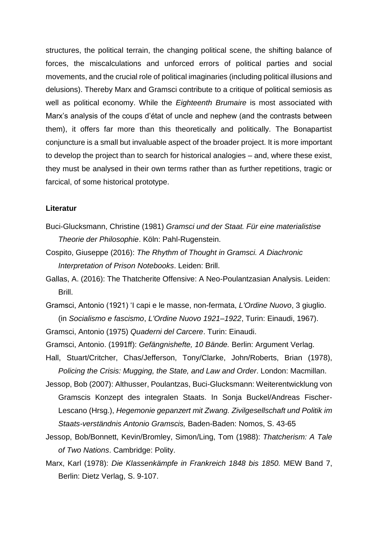structures, the political terrain, the changing political scene, the shifting balance of forces, the miscalculations and unforced errors of political parties and social movements, and the crucial role of political imaginaries (including political illusions and delusions). Thereby Marx and Gramsci contribute to a critique of political semiosis as well as political economy. While the *Eighteenth Brumaire* is most associated with Marx's analysis of the coups d'état of uncle and nephew (and the contrasts between them), it offers far more than this theoretically and politically. The Bonapartist conjuncture is a small but invaluable aspect of the broader project. It is more important to develop the project than to search for historical analogies – and, where these exist, they must be analysed in their own terms rather than as further repetitions, tragic or farcical, of some historical prototype.

## **Literatur**

- Buci-Glucksmann, Christine (1981) *Gramsci und der Staat. Für eine materialistise Theorie der Philosophie*. Köln: Pahl-Rugenstein.
- Cospito, Giuseppe (2016): *The Rhythm of Thought in Gramsci. A Diachronic Interpretation of Prison Notebooks*. Leiden: Brill.
- Gallas, A. (2016): The Thatcherite Offensive: A Neo-Poulantzasian Analysis. Leiden: Brill.
- Gramsci, Antonio (1921) 'I capi e le masse, non-fermata, *L'Ordine Nuovo*, 3 giuglio. (in *Socialismo e fascismo*, *L'Ordine Nuovo 1921–1922*, Turin: Einaudi, 1967).

Gramsci, Antonio (1975) *Quaderni del Carcere*. Turin: Einaudi.

- Gramsci, Antonio. (1991ff): *Gefängnishefte, 10 Bände.* Berlin: Argument Verlag.
- Hall, Stuart/Critcher, Chas/Jefferson, Tony/Clarke, John/Roberts, Brian (1978), *Policing the Crisis: Mugging, the State, and Law and Order*. London: Macmillan.
- Jessop, Bob (2007): Althusser, Poulantzas, Buci-Glucksmann: Weiterentwicklung von Gramscis Konzept des integralen Staats. In Sonja Buckel/Andreas Fischer-Lescano (Hrsg.), *Hegemonie gepanzert mit Zwang. Zivilgesellschaft und Politik im Staats-verständnis Antonio Gramscis,* Baden-Baden: Nomos, S. 43-65
- Jessop, Bob/Bonnett, Kevin/Bromley, Simon/Ling, Tom (1988): *Thatcherism: A Tale of Two Nations*. Cambridge: Polity.

Marx, Karl (1978): *Die Klassenkämpfe in Frankreich 1848 bis 1850.* MEW Band 7, Berlin: Dietz Verlag, S. 9-107.